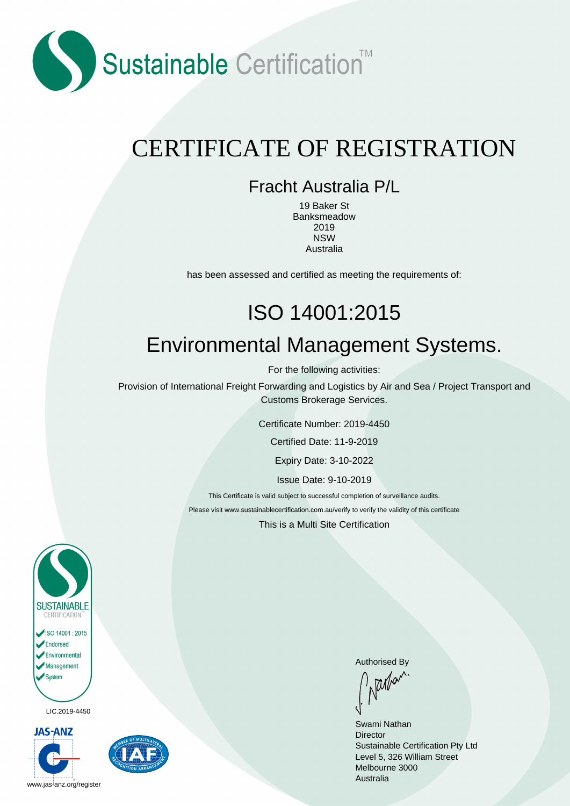

## CERTIFICATE OF REGISTRATION

#### Fracht Australia P/L

19 Baker St Banksmeadow 2019 NSW Australia

has been assessed and certified as meeting the requirements of:

# ISO 14001:2015 Environmental Management Systems.

For the following activities:

Provision of International Freight Forwarding and Logistics by Air and Sea / Project Transport and Customs Brokerage Services.

Certificate Number: 2019-4450

Certified Date: 11-9-2019

Expiry Date: 3-10-2022

Issue Date: 9-10-2019

This Certificate is valid subject to successful completion of surveillance audits.

Please visit www.sustainablecertification.com.au/verify to verify the validity of this certificate

This is a Multi Site Certification



LIC.2019-4450





Authorised By<br>  $\int_{\Lambda} \frac{1}{|\mathcal{U}|} d\mathcal{U}^{\Lambda}$ 

Swami Nathan **Director** Sustainable Certification Pty Ltd Level 5, 326 William Street Melbourne 3000 Australia